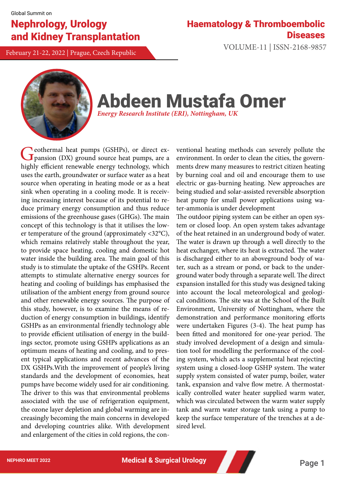## Nephrology, Urology and Kidney Transplantation

# February 21-22, 2022 | Prague, Czech Republic VOLUME-11 | ISSN-2168-9857

### Haematology & Thromboembolic **Diseases**



# Abdeen Mustafa Omer

*Energy Research Institute (ERI), Nottingham, UK*

Geothermal heat pumps (GSHPs), or direct expansion (DX) ground source heat pumps, are a highly efficient renewable energy technology, which uses the earth, groundwater or surface water as a heat source when operating in heating mode or as a heat sink when operating in a cooling mode. It is receiving increasing interest because of its potential to reduce primary energy consumption and thus reduce emissions of the greenhouse gases (GHGs). The main concept of this technology is that it utilises the lower temperature of the ground (approximately <32°C), which remains relatively stable throughout the year, to provide space heating, cooling and domestic hot water inside the building area. The main goal of this study is to stimulate the uptake of the GSHPs. Recent attempts to stimulate alternative energy sources for heating and cooling of buildings has emphasised the utilisation of the ambient energy from ground source and other renewable energy sources. The purpose of this study, however, is to examine the means of reduction of energy consumption in buildings, identify GSHPs as an environmental friendly technology able to provide efficient utilisation of energy in the buildings sector, promote using GSHPs applications as an optimum means of heating and cooling, and to present typical applications and recent advances of the DX GSHPs.With the improvement of people's living standards and the development of economies, heat pumps have become widely used for air conditioning. The driver to this was that environmental problems associated with the use of refrigeration equipment, the ozone layer depletion and global warming are increasingly becoming the main concerns in developed and developing countries alike. With development and enlargement of the cities in cold regions, the con-

ventional heating methods can severely pollute the environment. In order to clean the cities, the governments drew many measures to restrict citizen heating by burning coal and oil and encourage them to use electric or gas-burning heating. New approaches are being studied and solar-assisted reversible absorption heat pump for small power applications using water-ammonia is under development

The outdoor piping system can be either an open system or closed loop. An open system takes advantage of the heat retained in an underground body of water. The water is drawn up through a well directly to the heat exchanger, where its heat is extracted. The water is discharged either to an aboveground body of water, such as a stream or pond, or back to the underground water body through a separate well. The direct expansion installed for this study was designed taking into account the local meteorological and geological conditions. The site was at the School of the Built Environment, University of Nottingham, where the demonstration and performance monitoring efforts were undertaken Figures (3-4). The heat pump has been fitted and monitored for one-year period. The study involved development of a design and simulation tool for modelling the performance of the cooling system, which acts a supplemental heat rejecting system using a closed-loop GSHP system. The water supply system consisted of water pump, boiler, water tank, expansion and valve flow metre. A thermostatically controlled water heater supplied warm water, which was circulated between the warm water supply tank and warm water storage tank using a pump to keep the surface temperature of the trenches at a desired level.